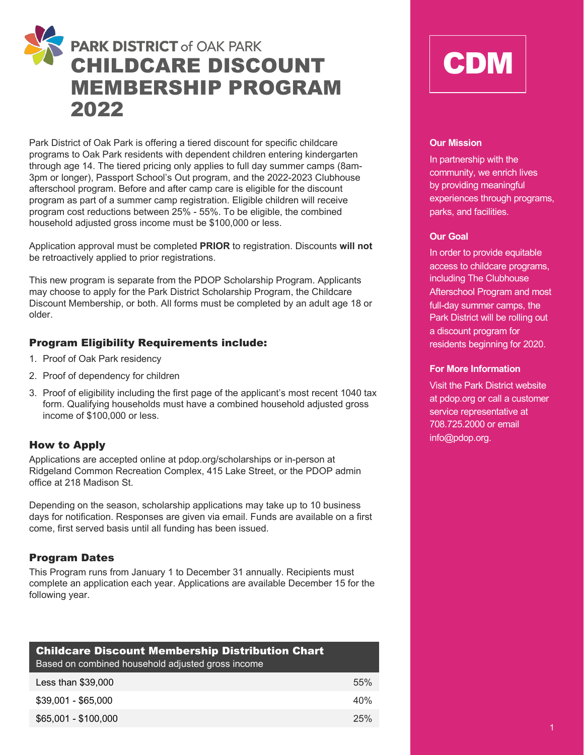

Park District of Oak Park is offering a tiered discount for specific childcare programs to Oak Park residents with dependent children entering kindergarten through age 14. The tiered pricing only applies to full day summer camps (8am-3pm or longer), Passport School's Out program, and the 2022-2023 Clubhouse afterschool program. Before and after camp care is eligible for the discount program as part of a summer camp registration. Eligible children will receive program cost reductions between 25% - 55%. To be eligible, the combined household adjusted gross income must be \$100,000 or less.

Application approval must be completed **PRIOR** to registration. Discounts **will not**  be retroactively applied to prior registrations.

This new program is separate from the PDOP Scholarship Program. Applicants may choose to apply for the Park District Scholarship Program, the Childcare Discount Membership, or both. All forms must be completed by an adult age 18 or older.

### Program Eligibility Requirements include:

- 1. Proof of Oak Park residency
- 2. Proof of dependency for children
- 3. Proof of eligibility including the first page of the applicant's most recent 1040 tax form. Qualifying households must have a combined household adjusted gross income of \$100,000 or less.

## How to Apply

Applications are accepted online at pdop.org/scholarships or in-person at Ridgeland Common Recreation Complex, 415 Lake Street, or the PDOP admin office at 218 Madison St.

Depending on the season, scholarship applications may take up to 10 business days for notification. Responses are given via email. Funds are available on a first come, first served basis until all funding has been issued.

## Program Dates

This Program runs from January 1 to December 31 annually. Recipients must complete an application each year. Applications are available December 15 for the following year.

| <b>Childcare Discount Membership Distribution Chart</b><br>Based on combined household adjusted gross income |     |  |  |  |  |
|--------------------------------------------------------------------------------------------------------------|-----|--|--|--|--|
| Less than \$39,000                                                                                           | 55% |  |  |  |  |
| $$39,001 - $65,000$                                                                                          | 40% |  |  |  |  |
| \$65,001 - \$100,000                                                                                         | 25% |  |  |  |  |

# CDM

#### **Our Mission**

In partnership with the community, we enrich lives by providing meaningful experiences through programs, parks, and facilities.

#### **Our Goal**

In order to provide equitable access to childcare programs, including The Clubhouse Afterschool Program and most full-day summer camps, the Park District will be rolling out a discount program for residents beginning for 2020.

#### **For More Information**

Visit the Park District website at pdop.org or call a customer service representative at 708.725.2000 or email info@pdop.org.